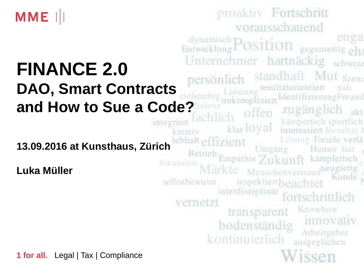

# **FINANCE 2.0 DAO, Smart Contracts**

**13.09.2016 at Kunsthaus, Zürich** 

**Luka Müller** 

**1 for all.** Legal | Tax | Compliance

proaktiv Fortschritt vorausschauend dynamisch Position gegenseitig ehr Unternehmer hartnäckig schweiz standhaft Mut Szen persönlich Leistung resultatorientiert nah **and How to Sue a Code?**  kämperisch sportlich<br>interessiert Resultat f integriert klar loyal Lösung Freude verlä ebhaft effizient Umgang Humor fair Betrieb Empathie Zukunft kämpferisch Märkte Menschenverstand<sup>neugieng</sup> respektiertheachtet selbstbewusst interdisziplinär vernetzt Knowhow transparent innovativ bodenständig Arbeitgeber kontinuierlich ausgeglichen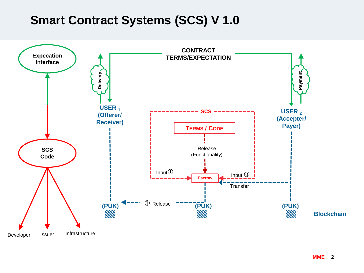### **Smart Contract Systems (SCS) V 1.0**

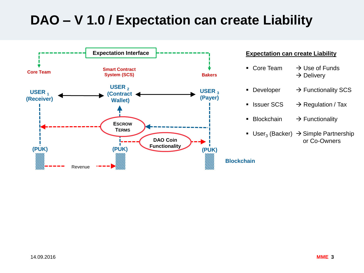## **DAO – V 1.0 / Expectation can create Liability**

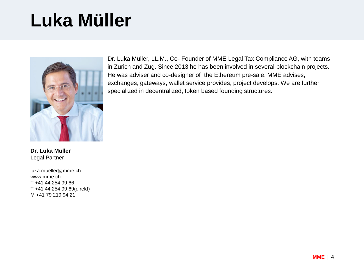## **Luka Müller**



Dr. Luka Müller, LL.M., Co- Founder of MME Legal Tax Compliance AG, with teams in Zurich and Zug. Since 2013 he has been involved in several blockchain projects. He was adviser and co-designer of the Ethereum pre-sale. MME advises, exchanges, gateways, wallet service provides, project develops. We are further specialized in decentralized, token based founding structures.

**Dr. Luka Müller** Legal Partner

luka.mueller@mme.ch www.mme.ch T +41 44 254 99 66 T +41 44 254 99 69(direkt) M +41 79 219 94 21